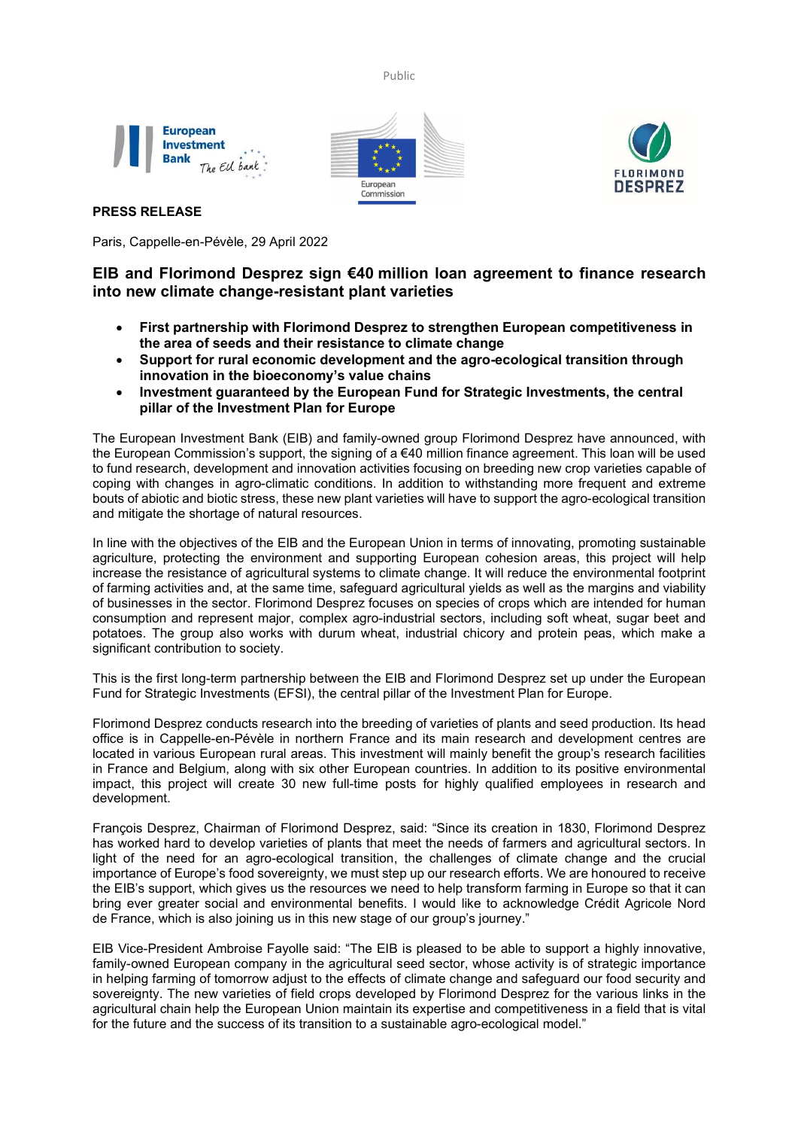Public







# PRESS RELEASE

Paris, Cappelle-en-Pévèle, 29 April 2022

# EIB and Florimond Desprez sign €40 million loan agreement to finance research into new climate change-resistant plant varieties

- First partnership with Florimond Desprez to strengthen European competitiveness in the area of seeds and their resistance to climate change
- Support for rural economic development and the agro-ecological transition through innovation in the bioeconomy's value chains
- Investment guaranteed by the European Fund for Strategic Investments, the central pillar of the Investment Plan for Europe

The European Investment Bank (EIB) and family-owned group Florimond Desprez have announced, with the European Commission's support, the signing of a €40 million finance agreement. This loan will be used to fund research, development and innovation activities focusing on breeding new crop varieties capable of coping with changes in agro-climatic conditions. In addition to withstanding more frequent and extreme bouts of abiotic and biotic stress, these new plant varieties will have to support the agro-ecological transition and mitigate the shortage of natural resources.

In line with the objectives of the EIB and the European Union in terms of innovating, promoting sustainable agriculture, protecting the environment and supporting European cohesion areas, this project will help increase the resistance of agricultural systems to climate change. It will reduce the environmental footprint of farming activities and, at the same time, safeguard agricultural yields as well as the margins and viability of businesses in the sector. Florimond Desprez focuses on species of crops which are intended for human consumption and represent major, complex agro-industrial sectors, including soft wheat, sugar beet and potatoes. The group also works with durum wheat, industrial chicory and protein peas, which make a significant contribution to society.

This is the first long-term partnership between the EIB and Florimond Desprez set up under the European Fund for Strategic Investments (EFSI), the central pillar of the Investment Plan for Europe.

Florimond Desprez conducts research into the breeding of varieties of plants and seed production. Its head office is in Cappelle-en-Pévèle in northern France and its main research and development centres are located in various European rural areas. This investment will mainly benefit the group's research facilities in France and Belgium, along with six other European countries. In addition to its positive environmental impact, this project will create 30 new full-time posts for highly qualified employees in research and development.

François Desprez, Chairman of Florimond Desprez, said: "Since its creation in 1830, Florimond Desprez has worked hard to develop varieties of plants that meet the needs of farmers and agricultural sectors. In light of the need for an agro-ecological transition, the challenges of climate change and the crucial importance of Europe's food sovereignty, we must step up our research efforts. We are honoured to receive the EIB's support, which gives us the resources we need to help transform farming in Europe so that it can bring ever greater social and environmental benefits. I would like to acknowledge Crédit Agricole Nord de France, which is also joining us in this new stage of our group's journey."

EIB Vice-President Ambroise Fayolle said: "The EIB is pleased to be able to support a highly innovative, family-owned European company in the agricultural seed sector, whose activity is of strategic importance in helping farming of tomorrow adjust to the effects of climate change and safeguard our food security and sovereignty. The new varieties of field crops developed by Florimond Desprez for the various links in the agricultural chain help the European Union maintain its expertise and competitiveness in a field that is vital for the future and the success of its transition to a sustainable agro-ecological model."